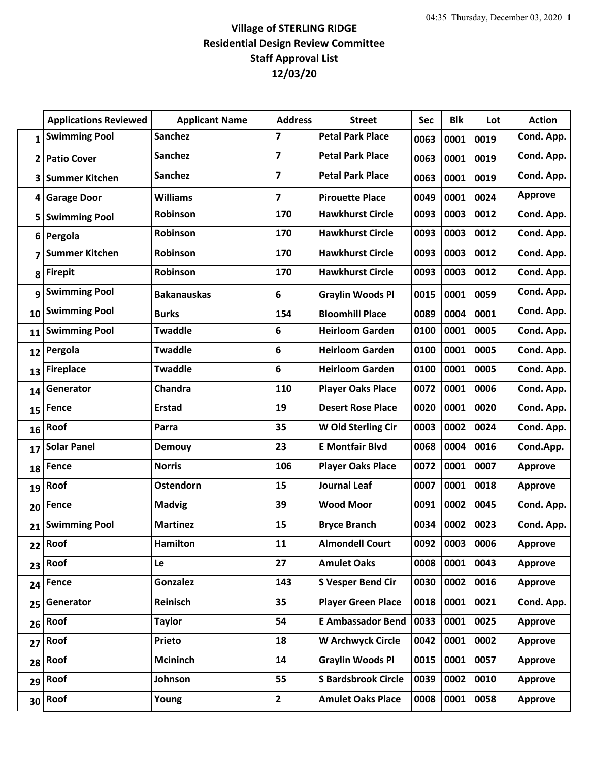## **Village of STERLING RIDGE Residential Design Review Committee Staff Approval List 12/03/20**

|              | <b>Applications Reviewed</b> | <b>Applicant Name</b> | <b>Address</b>          | <b>Street</b>              | Sec  | <b>Blk</b> | Lot  | <b>Action</b>  |
|--------------|------------------------------|-----------------------|-------------------------|----------------------------|------|------------|------|----------------|
| $\mathbf{1}$ | <b>Swimming Pool</b>         | <b>Sanchez</b>        | 7                       | <b>Petal Park Place</b>    | 0063 | 0001       | 0019 | Cond. App.     |
| 2            | <b>Patio Cover</b>           | <b>Sanchez</b>        | $\overline{\mathbf{z}}$ | <b>Petal Park Place</b>    | 0063 | 0001       | 0019 | Cond. App.     |
| 3            | <b>Summer Kitchen</b>        | <b>Sanchez</b>        | $\overline{7}$          | <b>Petal Park Place</b>    | 0063 | 0001       | 0019 | Cond. App.     |
| 4            | <b>Garage Door</b>           | <b>Williams</b>       | 7                       | <b>Pirouette Place</b>     | 0049 | 0001       | 0024 | <b>Approve</b> |
| 5            | <b>Swimming Pool</b>         | <b>Robinson</b>       | 170                     | <b>Hawkhurst Circle</b>    | 0093 | 0003       | 0012 | Cond. App.     |
| 6            | Pergola                      | Robinson              | 170                     | <b>Hawkhurst Circle</b>    | 0093 | 0003       | 0012 | Cond. App.     |
| 7            | <b>Summer Kitchen</b>        | Robinson              | 170                     | <b>Hawkhurst Circle</b>    | 0093 | 0003       | 0012 | Cond. App.     |
| 8            | <b>Firepit</b>               | Robinson              | 170                     | <b>Hawkhurst Circle</b>    | 0093 | 0003       | 0012 | Cond. App.     |
| 9            | <b>Swimming Pool</b>         | <b>Bakanauskas</b>    | 6                       | <b>Graylin Woods Pl</b>    | 0015 | 0001       | 0059 | Cond. App.     |
| 10           | <b>Swimming Pool</b>         | <b>Burks</b>          | 154                     | <b>Bloomhill Place</b>     | 0089 | 0004       | 0001 | Cond. App.     |
| 11           | <b>Swimming Pool</b>         | <b>Twaddle</b>        | 6                       | <b>Heirloom Garden</b>     | 0100 | 0001       | 0005 | Cond. App.     |
| 12           | Pergola                      | <b>Twaddle</b>        | 6                       | <b>Heirloom Garden</b>     | 0100 | 0001       | 0005 | Cond. App.     |
| 13           | <b>Fireplace</b>             | <b>Twaddle</b>        | 6                       | <b>Heirloom Garden</b>     | 0100 | 0001       | 0005 | Cond. App.     |
| 14           | Generator                    | Chandra               | 110                     | <b>Player Oaks Place</b>   | 0072 | 0001       | 0006 | Cond. App.     |
| 15           | <b>Fence</b>                 | <b>Erstad</b>         | 19                      | <b>Desert Rose Place</b>   | 0020 | 0001       | 0020 | Cond. App.     |
| 16           | Roof                         | Parra                 | 35                      | W Old Sterling Cir         | 0003 | 0002       | 0024 | Cond. App.     |
| 17           | <b>Solar Panel</b>           | <b>Demouy</b>         | 23                      | <b>E Montfair Blvd</b>     | 0068 | 0004       | 0016 | Cond.App.      |
| 18           | Fence                        | <b>Norris</b>         | 106                     | <b>Player Oaks Place</b>   | 0072 | 0001       | 0007 | <b>Approve</b> |
| 19           | Roof                         | Ostendorn             | 15                      | <b>Journal Leaf</b>        | 0007 | 0001       | 0018 | <b>Approve</b> |
| 20           | Fence                        | <b>Madvig</b>         | 39                      | <b>Wood Moor</b>           | 0091 | 0002       | 0045 | Cond. App.     |
| 21           | <b>Swimming Pool</b>         | <b>Martinez</b>       | 15                      | <b>Bryce Branch</b>        | 0034 | 0002       | 0023 | Cond. App.     |
|              | 22 Roof                      | <b>Hamilton</b>       | 11                      | <b>Almondell Court</b>     | 0092 | 0003       | 0006 | <b>Approve</b> |
| 23           | Roof                         | Le                    | 27                      | <b>Amulet Oaks</b>         | 0008 | 0001       | 0043 | <b>Approve</b> |
| 24           | <b>Fence</b>                 | <b>Gonzalez</b>       | 143                     | <b>S Vesper Bend Cir</b>   | 0030 | 0002       | 0016 | <b>Approve</b> |
| 25           | Generator                    | Reinisch              | 35                      | <b>Player Green Place</b>  | 0018 | 0001       | 0021 | Cond. App.     |
| 26           | Roof                         | <b>Taylor</b>         | 54                      | <b>E Ambassador Bend</b>   | 0033 | 0001       | 0025 | <b>Approve</b> |
| 27           | Roof                         | Prieto                | 18                      | <b>W Archwyck Circle</b>   | 0042 | 0001       | 0002 | <b>Approve</b> |
| 28           | Roof                         | Mcininch              | 14                      | <b>Graylin Woods Pl</b>    | 0015 | 0001       | 0057 | <b>Approve</b> |
| 29           | Roof                         | Johnson               | 55                      | <b>S Bardsbrook Circle</b> | 0039 | 0002       | 0010 | <b>Approve</b> |
| 30           | Roof                         | Young                 | $\mathbf{2}$            | <b>Amulet Oaks Place</b>   | 0008 | 0001       | 0058 | <b>Approve</b> |